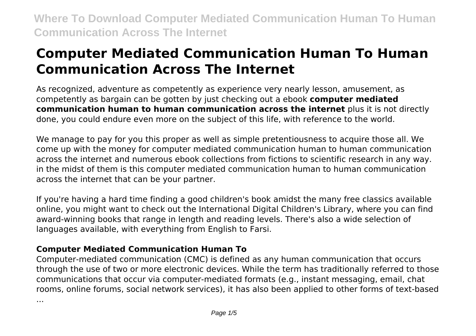# **Computer Mediated Communication Human To Human Communication Across The Internet**

As recognized, adventure as competently as experience very nearly lesson, amusement, as competently as bargain can be gotten by just checking out a ebook **computer mediated communication human to human communication across the internet** plus it is not directly done, you could endure even more on the subject of this life, with reference to the world.

We manage to pay for you this proper as well as simple pretentiousness to acquire those all. We come up with the money for computer mediated communication human to human communication across the internet and numerous ebook collections from fictions to scientific research in any way. in the midst of them is this computer mediated communication human to human communication across the internet that can be your partner.

If you're having a hard time finding a good children's book amidst the many free classics available online, you might want to check out the International Digital Children's Library, where you can find award-winning books that range in length and reading levels. There's also a wide selection of languages available, with everything from English to Farsi.

### **Computer Mediated Communication Human To**

Computer-mediated communication (CMC) is defined as any human communication that occurs through the use of two or more electronic devices. While the term has traditionally referred to those communications that occur via computer-mediated formats (e.g., instant messaging, email, chat rooms, online forums, social network services), it has also been applied to other forms of text-based

...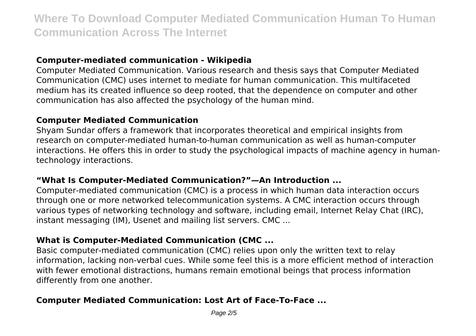### **Computer-mediated communication - Wikipedia**

Computer Mediated Communication. Various research and thesis says that Computer Mediated Communication (CMC) uses internet to mediate for human communication. This multifaceted medium has its created influence so deep rooted, that the dependence on computer and other communication has also affected the psychology of the human mind.

### **Computer Mediated Communication**

Shyam Sundar offers a framework that incorporates theoretical and empirical insights from research on computer-mediated human-to-human communication as well as human-computer interactions. He offers this in order to study the psychological impacts of machine agency in humantechnology interactions.

### **"What Is Computer-Mediated Communication?"—An Introduction ...**

Computer-mediated communication (CMC) is a process in which human data interaction occurs through one or more networked telecommunication systems. A CMC interaction occurs through various types of networking technology and software, including email, Internet Relay Chat (IRC), instant messaging (IM), Usenet and mailing list servers. CMC ...

### **What is Computer-Mediated Communication (CMC ...**

Basic computer-mediated communication (CMC) relies upon only the written text to relay information, lacking non-verbal cues. While some feel this is a more efficient method of interaction with fewer emotional distractions, humans remain emotional beings that process information differently from one another.

### **Computer Mediated Communication: Lost Art of Face-To-Face ...**

Page 2/5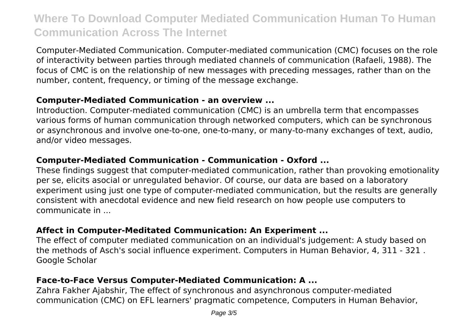Computer-Mediated Communication. Computer-mediated communication (CMC) focuses on the role of interactivity between parties through mediated channels of communication (Rafaeli, 1988). The focus of CMC is on the relationship of new messages with preceding messages, rather than on the number, content, frequency, or timing of the message exchange.

#### **Computer-Mediated Communication - an overview ...**

Introduction. Computer-mediated communication (CMC) is an umbrella term that encompasses various forms of human communication through networked computers, which can be synchronous or asynchronous and involve one-to-one, one-to-many, or many-to-many exchanges of text, audio, and/or video messages.

### **Computer-Mediated Communication - Communication - Oxford ...**

These findings suggest that computer-mediated communication, rather than provoking emotionality per se, elicits asocial or unregulated behavior. Of course, our data are based on a laboratory experiment using just one type of computer-mediated communication, but the results are generally consistent with anecdotal evidence and new field research on how people use computers to communicate in ...

### **Affect in Computer-Meditated Communication: An Experiment ...**

The effect of computer mediated communication on an individual's judgement: A study based on the methods of Asch's social influence experiment. Computers in Human Behavior, 4, 311 - 321 . Google Scholar

### **Face-to-Face Versus Computer-Mediated Communication: A ...**

Zahra Fakher Ajabshir, The effect of synchronous and asynchronous computer-mediated communication (CMC) on EFL learners' pragmatic competence, Computers in Human Behavior,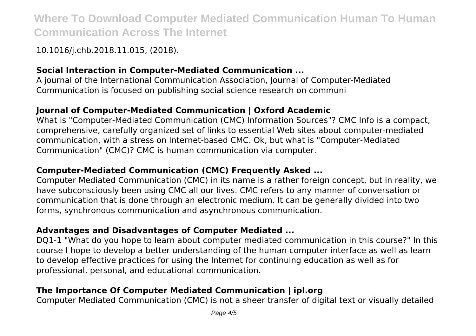### 10.1016/j.chb.2018.11.015, (2018).

### **Social Interaction in Computer‐Mediated Communication ...**

A journal of the International Communication Association, Journal of Computer-Mediated Communication is focused on publishing social science research on communi

### **Journal of Computer-Mediated Communication | Oxford Academic**

What is "Computer-Mediated Communication (CMC) Information Sources"? CMC Info is a compact, comprehensive, carefully organized set of links to essential Web sites about computer-mediated communication, with a stress on Internet-based CMC. Ok, but what is "Computer-Mediated Communication" (CMC)? CMC is human communication via computer.

### **Computer-Mediated Communication (CMC) Frequently Asked ...**

Computer Mediated Communication (CMC) in its name is a rather foreign concept, but in reality, we have subconsciously been using CMC all our lives. CMC refers to any manner of conversation or communication that is done through an electronic medium. It can be generally divided into two forms, synchronous communication and asynchronous communication.

## **Advantages and Disadvantages of Computer Mediated ...**

DQ1-1 "What do you hope to learn about computer mediated communication in this course?" In this course I hope to develop a better understanding of the human computer interface as well as learn to develop effective practices for using the Internet for continuing education as well as for professional, personal, and educational communication.

### **The Importance Of Computer Mediated Communication | ipl.org**

Computer Mediated Communication (CMC) is not a sheer transfer of digital text or visually detailed